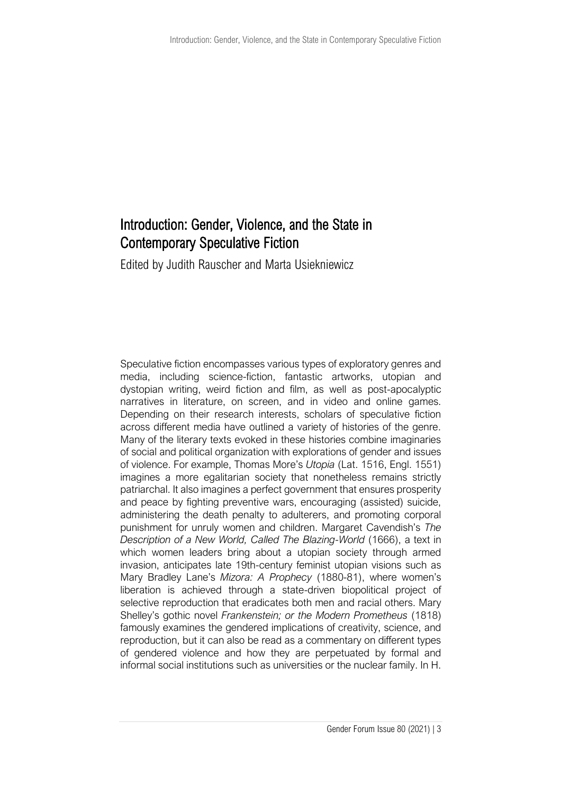## Introduction: Gender, Violence, and the State in Contemporary Speculative Fiction

Edited by Judith Rauscher and Marta Usiekniewicz

Speculative fiction encompasses various types of exploratory genres and media, including science-fiction, fantastic artworks, utopian and dystopian writing, weird fiction and film, as well as post-apocalyptic narratives in literature, on screen, and in video and online games. Depending on their research interests, scholars of speculative fiction across different media have outlined a variety of histories of the genre. Many of the literary texts evoked in these histories combine imaginaries of social and political organization with explorations of gender and issues of violence. For example, Thomas More's *Utopia* (Lat. 1516, Engl. 1551) imagines a more egalitarian society that nonetheless remains strictly patriarchal. It also imagines a perfect government that ensures prosperity and peace by fighting preventive wars, encouraging (assisted) suicide, administering the death penalty to adulterers, and promoting corporal punishment for unruly women and children. Margaret Cavendish's *The Description of a New World, Called The Blazing-World* (1666), a text in which women leaders bring about a utopian society through armed invasion, anticipates late 19th-century feminist utopian visions such as Mary Bradley Lane's *Mizora: A Prophecy* (1880-81), where women's liberation is achieved through a state-driven biopolitical project of selective reproduction that eradicates both men and racial others. Mary Shelley's gothic novel *Frankenstein; or the Modern Prometheus* (1818) famously examines the gendered implications of creativity, science, and reproduction, but it can also be read as a commentary on different types of gendered violence and how they are perpetuated by formal and informal social institutions such as universities or the nuclear family. In H.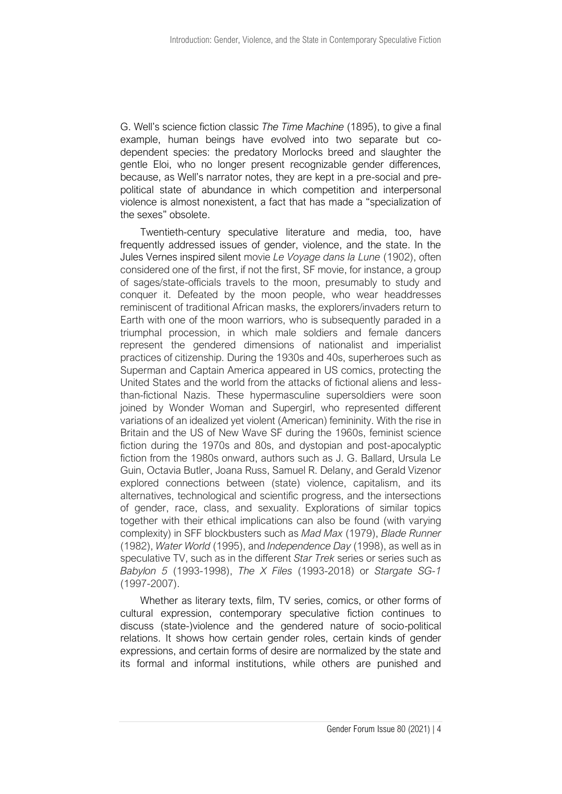G. Well's science fiction classic *The Time Machine* (1895), to give a final example, human beings have evolved into two separate but codependent species: the predatory Morlocks breed and slaughter the gentle Eloi, who no longer present recognizable gender differences, because, as Well's narrator notes, they are kept in a pre-social and prepolitical state of abundance in which competition and interpersonal violence is almost nonexistent, a fact that has made a "specialization of the sexes" obsolete.

Twentieth-century speculative literature and media, too, have frequently addressed issues of gender, violence, and the state. In the Jules Vernes inspired silent movie *Le Voyage dans la Lune* (1902), often considered one of the first, if not the first, SF movie, for instance, a group of sages/state-officials travels to the moon, presumably to study and conquer it. Defeated by the moon people, who wear headdresses reminiscent of traditional African masks, the explorers/invaders return to Earth with one of the moon warriors, who is subsequently paraded in a triumphal procession, in which male soldiers and female dancers represent the gendered dimensions of nationalist and imperialist practices of citizenship. During the 1930s and 40s, superheroes such as Superman and Captain America appeared in US comics, protecting the United States and the world from the attacks of fictional aliens and lessthan-fictional Nazis. These hypermasculine supersoldiers were soon joined by Wonder Woman and Supergirl, who represented different variations of an idealized yet violent (American) femininity. With the rise in Britain and the US of New Wave SF during the 1960s, feminist science fiction during the 1970s and 80s, and dystopian and post-apocalyptic fiction from the 1980s onward, authors such as J. G. Ballard, Ursula Le Guin, Octavia Butler, Joana Russ, Samuel R. Delany, and Gerald Vizenor explored connections between (state) violence, capitalism, and its alternatives, technological and scientific progress, and the intersections of gender, race, class, and sexuality. Explorations of similar topics together with their ethical implications can also be found (with varying complexity) in SFF blockbusters such as *Mad Max* (1979), *Blade Runner* (1982), *Water World* (1995), and *Independence Day* (1998), as well as in speculative TV, such as in the different *Star Trek* series or series such as *Babylon 5* (1993-1998), *The X Files* (1993-2018) or *Stargate SG-1* (1997-2007).

Whether as literary texts, film, TV series, comics, or other forms of cultural expression, contemporary speculative fiction continues to discuss (state-)violence and the gendered nature of socio-political relations. It shows how certain gender roles, certain kinds of gender expressions, and certain forms of desire are normalized by the state and its formal and informal institutions, while others are punished and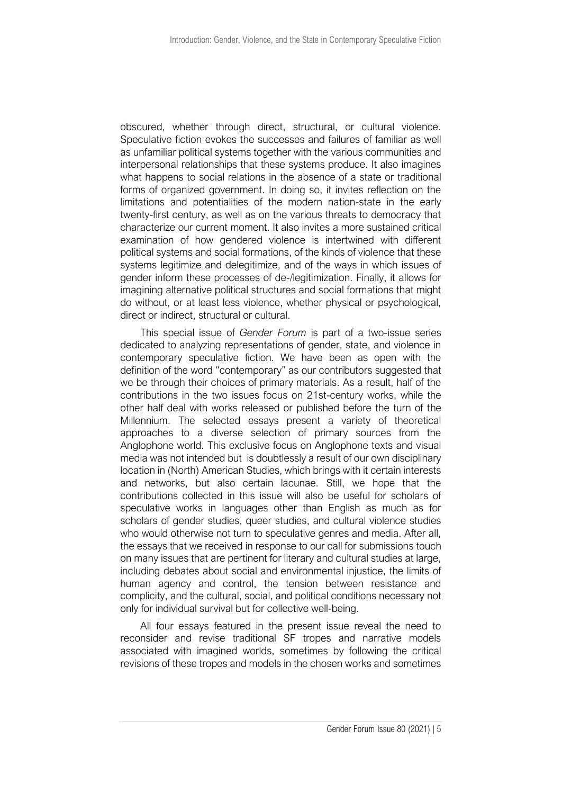obscured, whether through direct, structural, or cultural violence. Speculative fiction evokes the successes and failures of familiar as well as unfamiliar political systems together with the various communities and interpersonal relationships that these systems produce. It also imagines what happens to social relations in the absence of a state or traditional forms of organized government. In doing so, it invites reflection on the limitations and potentialities of the modern nation-state in the early twenty-first century, as well as on the various threats to democracy that characterize our current moment. It also invites a more sustained critical examination of how gendered violence is intertwined with different political systems and social formations, of the kinds of violence that these systems legitimize and delegitimize, and of the ways in which issues of gender inform these processes of de-/legitimization. Finally, it allows for imagining alternative political structures and social formations that might do without, or at least less violence, whether physical or psychological, direct or indirect, structural or cultural.

This special issue of *Gender Forum* is part of a two-issue series dedicated to analyzing representations of gender, state, and violence in contemporary speculative fiction. We have been as open with the definition of the word "contemporary" as our contributors suggested that we be through their choices of primary materials. As a result, half of the contributions in the two issues focus on 21st-century works, while the other half deal with works released or published before the turn of the Millennium. The selected essays present a variety of theoretical approaches to a diverse selection of primary sources from the Anglophone world. This exclusive focus on Anglophone texts and visual media was not intended but is doubtlessly a result of our own disciplinary location in (North) American Studies, which brings with it certain interests and networks, but also certain lacunae. Still, we hope that the contributions collected in this issue will also be useful for scholars of speculative works in languages other than English as much as for scholars of gender studies, queer studies, and cultural violence studies who would otherwise not turn to speculative genres and media. After all, the essays that we received in response to our call for submissions touch on many issues that are pertinent for literary and cultural studies at large, including debates about social and environmental injustice, the limits of human agency and control, the tension between resistance and complicity, and the cultural, social, and political conditions necessary not only for individual survival but for collective well-being.

All four essays featured in the present issue reveal the need to reconsider and revise traditional SF tropes and narrative models associated with imagined worlds, sometimes by following the critical revisions of these tropes and models in the chosen works and sometimes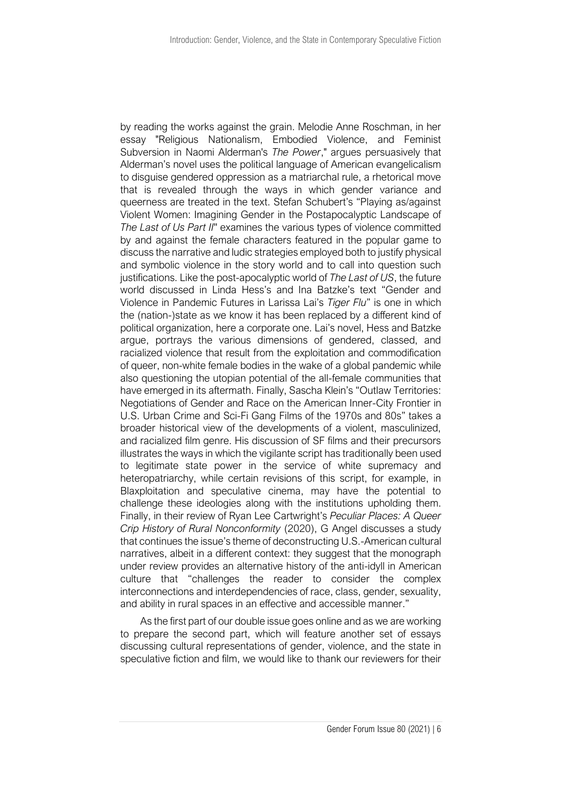by reading the works against the grain. Melodie Anne Roschman, in her essay "Religious Nationalism, Embodied Violence, and Feminist Subversion in Naomi Alderman's *The Power*," argues persuasively that Alderman's novel uses the political language of American evangelicalism to disguise gendered oppression as a matriarchal rule, a rhetorical move that is revealed through the ways in which gender variance and queerness are treated in the text. Stefan Schubert's "Playing as/against Violent Women: Imagining Gender in the Postapocalyptic Landscape of *The Last of Us Part II*'' examines the various types of violence committed by and against the female characters featured in the popular game to discuss the narrative and ludic strategies employed both to justify physical and symbolic violence in the story world and to call into question such justifications. Like the post-apocalyptic world of *The Last of US*, the future world discussed in Linda Hess's and Ina Batzke's text "Gender and Violence in Pandemic Futures in Larissa Lai's *Tiger Flu*" is one in which the (nation-)state as we know it has been replaced by a different kind of political organization, here a corporate one. Lai's novel, Hess and Batzke argue, portrays the various dimensions of gendered, classed, and racialized violence that result from the exploitation and commodification of queer, non-white female bodies in the wake of a global pandemic while also questioning the utopian potential of the all-female communities that have emerged in its aftermath. Finally, Sascha Klein's "Outlaw Territories: Negotiations of Gender and Race on the American Inner-City Frontier in U.S. Urban Crime and Sci-Fi Gang Films of the 1970s and 80s" takes a broader historical view of the developments of a violent, masculinized, and racialized film genre. His discussion of SF films and their precursors illustrates the ways in which the vigilante script has traditionally been used to legitimate state power in the service of white supremacy and heteropatriarchy, while certain revisions of this script, for example, in Blaxploitation and speculative cinema, may have the potential to challenge these ideologies along with the institutions upholding them. Finally, in their review of Ryan Lee Cartwright's *Peculiar Places: A Queer Crip History of Rural Nonconformity* (2020), G Angel discusses a study that continues the issue's theme of deconstructing U.S.-American cultural narratives, albeit in a different context: they suggest that the monograph under review provides an alternative history of the anti-idyll in American culture that "challenges the reader to consider the complex interconnections and interdependencies of race, class, gender, sexuality, and ability in rural spaces in an effective and accessible manner."

As the first part of our double issue goes online and as we are working to prepare the second part, which will feature another set of essays discussing cultural representations of gender, violence, and the state in speculative fiction and film, we would like to thank our reviewers for their